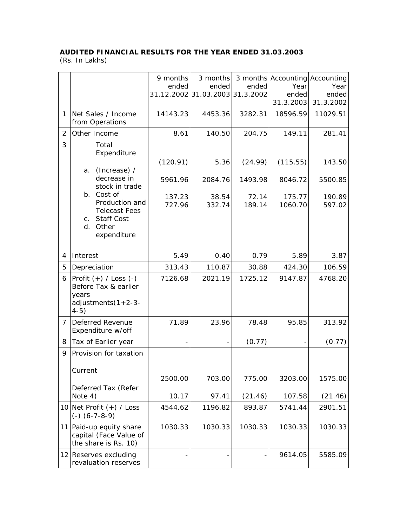## **AUDITED FINANCIAL RESULTS FOR THE YEAR ENDED 31.03.2003**

(Rs. In Lakhs)

|                |                                                                                                     | 9 months<br>ended | 3 months<br>ended<br>31.12.2002 31.03.2003 31.3.2002 | ended           | 3 months Accounting Accounting<br>Year<br>ended<br>31.3.2003 | Year<br>ended<br>31.3.2002 |
|----------------|-----------------------------------------------------------------------------------------------------|-------------------|------------------------------------------------------|-----------------|--------------------------------------------------------------|----------------------------|
| $\mathbf{1}$   | Net Sales / Income<br>from Operations                                                               | 14143.23          | 4453.36                                              | 3282.31         | 18596.59                                                     | 11029.51                   |
| 2              | Other Income                                                                                        | 8.61              | 140.50                                               | 204.75          | 149.11                                                       | 281.41                     |
| 3              | Total<br>Expenditure                                                                                | (120.91)          | 5.36                                                 | (24.99)         | (115.55)                                                     | 143.50                     |
|                | (Increase) /<br>a.<br>decrease in<br>stock in trade                                                 | 5961.96           | 2084.76                                              | 1493.98         | 8046.72                                                      | 5500.85                    |
|                | b. Cost of<br>Production and<br><b>Telecast Fees</b><br>c. Staff Cost<br>Other<br>d.<br>expenditure | 137.23<br>727.96  | 38.54<br>332.74                                      | 72.14<br>189.14 | 175.77<br>1060.70                                            | 190.89<br>597.02           |
|                |                                                                                                     |                   |                                                      |                 |                                                              |                            |
| 4              | Interest                                                                                            | 5.49              | 0.40                                                 | 0.79            | 5.89                                                         | 3.87                       |
| 5              | Depreciation                                                                                        | 313.43            | 110.87                                               | 30.88           | 424.30                                                       | 106.59                     |
| 6              | $ Profit (+) / Loss (-)$<br>Before Tax & earlier<br>years<br>adjustments $(1+2-3-$<br>$4-5)$        | 7126.68           | 2021.19                                              | 1725.12         | 9147.87                                                      | 4768.20                    |
| $\overline{7}$ | Deferred Revenue<br>Expenditure w/off                                                               | 71.89             | 23.96                                                | 78.48           | 95.85                                                        | 313.92                     |
| 8              | Tax of Earlier year                                                                                 |                   |                                                      | (0.77)          |                                                              | (0.77)                     |
| 9              | Provision for taxation<br>Current                                                                   |                   |                                                      |                 |                                                              |                            |
|                | Deferred Tax (Refer                                                                                 | 2500.00           | 703.00                                               | 775.00          | 3203.00                                                      | 1575.00                    |
|                | Note 4)                                                                                             | 10.17             | 97.41                                                | (21.46)         | 107.58                                                       | (21.46)                    |
|                | 10 Net Profit $(+)$ / Loss<br>$(-)$ $(6 - 7 - 8 - 9)$                                               | 4544.62           | 1196.82                                              | 893.87          | 5741.44                                                      | 2901.51                    |
| 11             | Paid-up equity share<br>capital (Face Value of<br>the share is Rs. 10)                              | 1030.33           | 1030.33                                              | 1030.33         | 1030.33                                                      | 1030.33                    |
|                | 12 Reserves excluding<br>revaluation reserves                                                       |                   |                                                      |                 | 9614.05                                                      | 5585.09                    |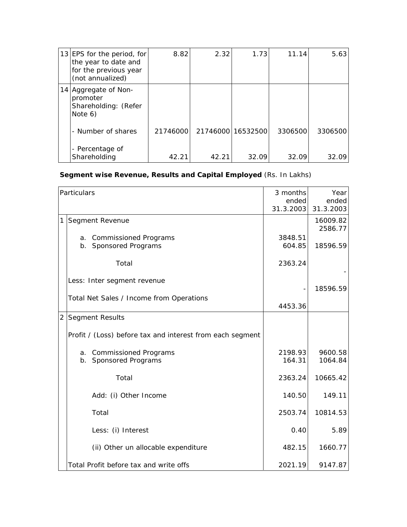| 13 EPS for the period, for<br>the year to date and<br>for the previous year<br>(not annualized) | 8.82     | 2.32  | 1.73              | 11.14   | 5.63    |
|-------------------------------------------------------------------------------------------------|----------|-------|-------------------|---------|---------|
| 14 Aggregate of Non-<br>promoter<br>Shareholding: (Refer<br>Note 6)                             |          |       |                   |         |         |
| - Number of shares                                                                              | 21746000 |       | 21746000 16532500 | 3306500 | 3306500 |
| - Percentage of<br>Shareholding                                                                 | 42.21    | 42.21 | 32.09             | 32.09   | 32.09   |

## **Segment wise Revenue, Results and Capital Employed** (Rs. In Lakhs)

|   | Particulars                                               | 3 months<br>ended<br>31.3.2003 | Year<br>ended<br>31.3.2003 |
|---|-----------------------------------------------------------|--------------------------------|----------------------------|
| 1 | Segment Revenue                                           |                                | 16009.82<br>2586.77        |
|   | a. Commissioned Programs<br>b. Sponsored Programs         | 3848.51<br>604.85              | 18596.59                   |
|   | Total                                                     | 2363.24                        |                            |
|   | Less: Inter segment revenue                               |                                | 18596.59                   |
|   | Total Net Sales / Income from Operations                  | 4453.36                        |                            |
|   | 2 Segment Results                                         |                                |                            |
|   | Profit / (Loss) before tax and interest from each segment |                                |                            |
|   | a. Commissioned Programs<br>b. Sponsored Programs         | 2198.93<br>164.31              | 9600.58<br>1064.84         |
|   | Total                                                     | 2363.24                        | 10665.42                   |
|   | Add: (i) Other Income                                     | 140.50                         | 149.11                     |
|   | Total                                                     | 2503.74                        | 10814.53                   |
|   | Less: (i) Interest                                        | 0.40                           | 5.89                       |
|   | (ii) Other un allocable expenditure                       | 482.15                         | 1660.77                    |
|   | Total Profit before tax and write offs                    | 2021.19                        | 9147.87                    |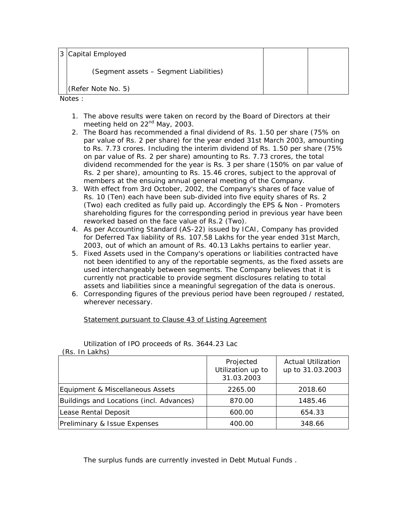3 Capital Employed

(Segment assets – Segment Liabilities)

(Refer Note No. 5)

Notes :

- 1. The above results were taken on record by the Board of Directors at their meeting held on 22<sup>nd</sup> May, 2003.
- 2. The Board has recommended a final dividend of Rs. 1.50 per share (75% on par value of Rs. 2 per share) for the year ended 31st March 2003, amounting to Rs. 7.73 crores. Including the interim dividend of Rs. 1.50 per share (75% on par value of Rs. 2 per share) amounting to Rs. 7.73 crores, the total dividend recommended for the year is Rs. 3 per share (150% on par value of Rs. 2 per share), amounting to Rs. 15.46 crores, subject to the approval of members at the ensuing annual general meeting of the Company.
- 3. With effect from 3rd October, 2002, the Company's shares of face value of Rs. 10 (Ten) each have been sub-divided into five equity shares of Rs. 2 (Two) each credited as fully paid up. Accordingly the EPS & Non - Promoters shareholding figures for the corresponding period in previous year have been reworked based on the face value of Rs.2 (Two).
- 4. As per Accounting Standard (AS-22) issued by ICAI, Company has provided for Deferred Tax liability of Rs. 107.58 Lakhs for the year ended 31st March, 2003, out of which an amount of Rs. 40.13 Lakhs pertains to earlier year.
- 5. Fixed Assets used in the Company's operations or liabilities contracted have not been identified to any of the reportable segments, as the fixed assets are used interchangeably between segments. The Company believes that it is currently not practicable to provide segment disclosures relating to total assets and liabilities since a meaningful segregation of the data is onerous.
- 6. Corresponding figures of the previous period have been regrouped / restated, wherever necessary.

Statement pursuant to Clause 43 of Listing Agreement

| , KS. III LANISI                         |                                              |                                               |  |  |  |
|------------------------------------------|----------------------------------------------|-----------------------------------------------|--|--|--|
|                                          | Projected<br>Utilization up to<br>31.03.2003 | <b>Actual Utilization</b><br>up to 31.03.2003 |  |  |  |
| Equipment & Miscellaneous Assets         | 2265.00                                      | 2018.60                                       |  |  |  |
| Buildings and Locations (incl. Advances) | 870.00                                       | 1485.46                                       |  |  |  |
| Lease Rental Deposit                     | 600.00                                       | 654.33                                        |  |  |  |
| Preliminary & Issue Expenses             | 400.00                                       | 348.66                                        |  |  |  |

Utilization of IPO proceeds of Rs. 3644.23 Lac  $(D_0, \text{Im} \text{Lshab})$ 

The surplus funds are currently invested in Debt Mutual Funds .